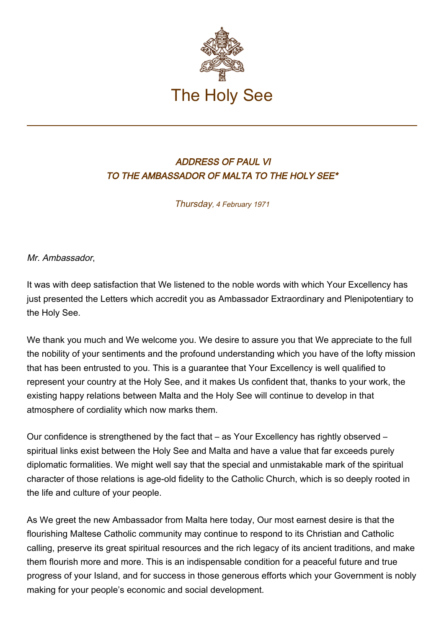

## ADDRESS OF PAUL VI TO THE AMBASSADOR OF MALTA TO THE HOLY SEE\*

Thursday, 4 February 1971

Mr. Ambassador,

It was with deep satisfaction that We listened to the noble words with which Your Excellency has just presented the Letters which accredit you as Ambassador Extraordinary and Plenipotentiary to the Holy See.

We thank you much and We welcome you. We desire to assure you that We appreciate to the full the nobility of your sentiments and the profound understanding which you have of the lofty mission that has been entrusted to you. This is a guarantee that Your Excellency is well qualified to represent your country at the Holy See, and it makes Us confident that, thanks to your work, the existing happy relations between Malta and the Holy See will continue to develop in that atmosphere of cordiality which now marks them.

Our confidence is strengthened by the fact that – as Your Excellency has rightly observed – spiritual links exist between the Holy See and Malta and have a value that far exceeds purely diplomatic formalities. We might well say that the special and unmistakable mark of the spiritual character of those relations is age-old fidelity to the Catholic Church, which is so deeply rooted in the life and culture of your people.

As We greet the new Ambassador from Malta here today, Our most earnest desire is that the flourishing Maltese Catholic community may continue to respond to its Christian and Catholic calling, preserve its great spiritual resources and the rich legacy of its ancient traditions, and make them flourish more and more. This is an indispensable condition for a peaceful future and true progress of your Island, and for success in those generous efforts which your Government is nobly making for your people's economic and social development.